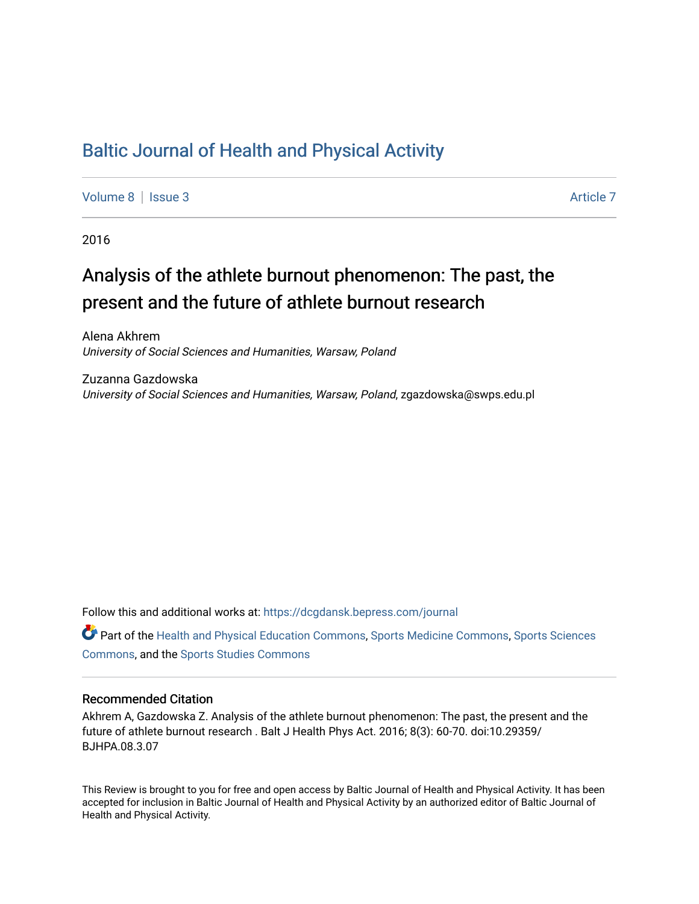# [Baltic Journal of Health and Physical Activity](https://dcgdansk.bepress.com/journal)

[Volume 8](https://dcgdansk.bepress.com/journal/vol8) | [Issue 3](https://dcgdansk.bepress.com/journal/vol8/iss3) Article 7

2016

# Analysis of the athlete burnout phenomenon: The past, the present and the future of athlete burnout research

Alena Akhrem University of Social Sciences and Humanities, Warsaw, Poland

Zuzanna Gazdowska University of Social Sciences and Humanities, Warsaw, Poland, zgazdowska@swps.edu.pl

Follow this and additional works at: [https://dcgdansk.bepress.com/journal](https://dcgdansk.bepress.com/journal?utm_source=dcgdansk.bepress.com%2Fjournal%2Fvol8%2Fiss3%2F7&utm_medium=PDF&utm_campaign=PDFCoverPages)

Part of the [Health and Physical Education Commons](http://network.bepress.com/hgg/discipline/1327?utm_source=dcgdansk.bepress.com%2Fjournal%2Fvol8%2Fiss3%2F7&utm_medium=PDF&utm_campaign=PDFCoverPages), [Sports Medicine Commons,](http://network.bepress.com/hgg/discipline/1331?utm_source=dcgdansk.bepress.com%2Fjournal%2Fvol8%2Fiss3%2F7&utm_medium=PDF&utm_campaign=PDFCoverPages) [Sports Sciences](http://network.bepress.com/hgg/discipline/759?utm_source=dcgdansk.bepress.com%2Fjournal%2Fvol8%2Fiss3%2F7&utm_medium=PDF&utm_campaign=PDFCoverPages) [Commons](http://network.bepress.com/hgg/discipline/759?utm_source=dcgdansk.bepress.com%2Fjournal%2Fvol8%2Fiss3%2F7&utm_medium=PDF&utm_campaign=PDFCoverPages), and the [Sports Studies Commons](http://network.bepress.com/hgg/discipline/1198?utm_source=dcgdansk.bepress.com%2Fjournal%2Fvol8%2Fiss3%2F7&utm_medium=PDF&utm_campaign=PDFCoverPages) 

#### Recommended Citation

Akhrem A, Gazdowska Z. Analysis of the athlete burnout phenomenon: The past, the present and the future of athlete burnout research . Balt J Health Phys Act. 2016; 8(3): 60-70. doi:10.29359/ BJHPA.08.3.07

This Review is brought to you for free and open access by Baltic Journal of Health and Physical Activity. It has been accepted for inclusion in Baltic Journal of Health and Physical Activity by an authorized editor of Baltic Journal of Health and Physical Activity.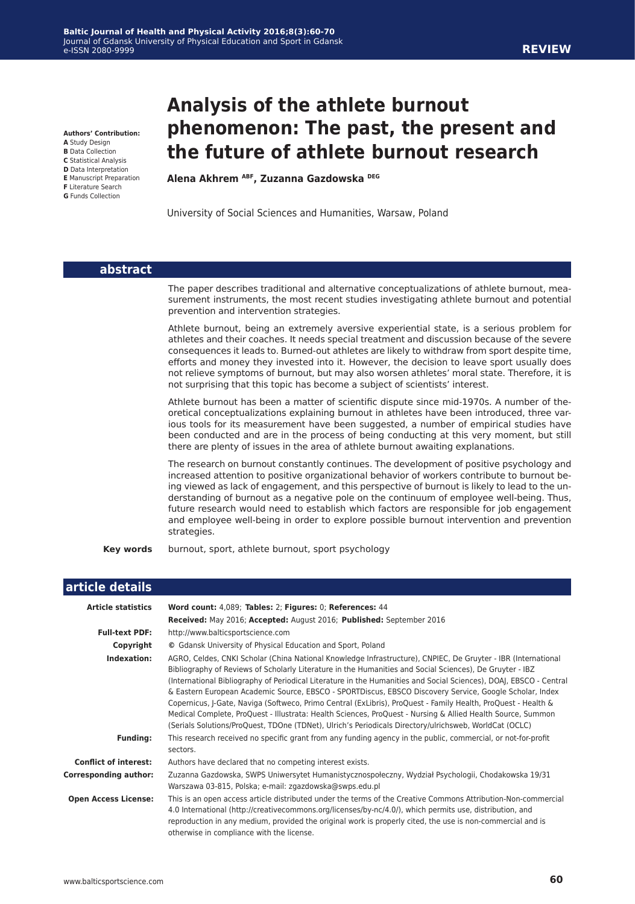**Authors' Contribution:**

- **A** Study Design
- **B** Data Collection **C** Statistical Analysis
- **D** Data Interpretation
- **E** Manuscript Preparation
- **F** Literature Search
- **G** Funds Collection

# **Analysis of the athlete burnout phenomenon: The past, the present and the future of athlete burnout research**

**Alena Akhrem ABF, Zuzanna Gazdowska DEG**

University of Social Sciences and Humanities, Warsaw, Poland

| abstract                        |                                                                                                                                                                                                                                                                                                                                                                                                                                                                                                                                                                                               |  |  |  |
|---------------------------------|-----------------------------------------------------------------------------------------------------------------------------------------------------------------------------------------------------------------------------------------------------------------------------------------------------------------------------------------------------------------------------------------------------------------------------------------------------------------------------------------------------------------------------------------------------------------------------------------------|--|--|--|
|                                 | The paper describes traditional and alternative conceptualizations of athlete burnout, mea-<br>surement instruments, the most recent studies investigating athlete burnout and potential<br>prevention and intervention strategies.                                                                                                                                                                                                                                                                                                                                                           |  |  |  |
|                                 | Athlete burnout, being an extremely aversive experiential state, is a serious problem for<br>athletes and their coaches. It needs special treatment and discussion because of the severe<br>consequences it leads to. Burned-out athletes are likely to withdraw from sport despite time,<br>efforts and money they invested into it. However, the decision to leave sport usually does<br>not relieve symptoms of burnout, but may also worsen athletes' moral state. Therefore, it is<br>not surprising that this topic has become a subject of scientists' interest.                       |  |  |  |
|                                 | Athlete burnout has been a matter of scientific dispute since mid-1970s. A number of the-<br>oretical conceptualizations explaining burnout in athletes have been introduced, three var-<br>jous tools for its measurement have been suggested, a number of empirical studies have<br>been conducted and are in the process of being conducting at this very moment, but still<br>there are plenty of issues in the area of athlete burnout awaiting explanations.                                                                                                                            |  |  |  |
|                                 | The research on burnout constantly continues. The development of positive psychology and<br>increased attention to positive organizational behavior of workers contribute to burnout be-<br>ing viewed as lack of engagement, and this perspective of burnout is likely to lead to the un-<br>derstanding of burnout as a negative pole on the continuum of employee well-being. Thus,<br>future research would need to establish which factors are responsible for job engagement<br>and employee well-being in order to explore possible burnout intervention and prevention<br>strategies. |  |  |  |
| <b>Key words</b>                | burnout, sport, athlete burnout, sport psychology                                                                                                                                                                                                                                                                                                                                                                                                                                                                                                                                             |  |  |  |
| article details                 |                                                                                                                                                                                                                                                                                                                                                                                                                                                                                                                                                                                               |  |  |  |
| <b>Article statistics</b>       | Word count: 4,089; Tables: 2; Figures: 0; References: 44                                                                                                                                                                                                                                                                                                                                                                                                                                                                                                                                      |  |  |  |
|                                 | Received: May 2016; Accepted: August 2016; Published: September 2016                                                                                                                                                                                                                                                                                                                                                                                                                                                                                                                          |  |  |  |
| <b>Full-text PDF:</b>           | http://www.balticsportscience.com                                                                                                                                                                                                                                                                                                                                                                                                                                                                                                                                                             |  |  |  |
| Copyright<br><b>Indexation:</b> | © Gdansk University of Physical Education and Sport, Poland<br>AGRO, Celdes, CNKI Scholar (China National Knowledge Infrastructure), CNPIEC, De Gruyter - IBR (International                                                                                                                                                                                                                                                                                                                                                                                                                  |  |  |  |
|                                 | Bibliography of Reviews of Scholarly Literature in the Humanities and Social Sciences), De Gruyter - IBZ<br>(International Bibliography of Periodical Literature in the Humanities and Social Sciences), DOAJ, EBSCO - Central<br>& Eastern European Academic Source, EBSCO - SPORTDiscus, EBSCO Discovery Service, Google Scholar, Index                                                                                                                                                                                                                                                     |  |  |  |

I

**Conflict of interest:** Authors have declared that no competing interest exists.

sectors.

**Corresponding author:** Zuzanna Gazdowska, SWPS Uniwersytet Humanistycznospołeczny, Wydział Psychologii, Chodakowska 19/31 Warszawa 03-815, Polska; e-mail: zgazdowska@swps.edu.pl  **Open Access License:** This is an open access article distributed under the terms of the Creative Commons Attribution-Non-commercial

4.0 International (http://creativecommons.org/licenses/by-nc/4.0/), which permits use, distribution, and reproduction in any medium, provided the original work is properly cited, the use is non-commercial and is otherwise in compliance with the license.

Copernicus, J-Gate, Naviga (Softweco, Primo Central (ExLibris), ProQuest - Family Health, ProQuest - Health & Medical Complete, ProQuest - Illustrata: Health Sciences, ProQuest - Nursing & Allied Health Source, Summon (Serials Solutions/ProQuest, TDOne (TDNet), Ulrich's Periodicals Directory/ulrichsweb, WorldCat (OCLC) **Funding:** This research received no specific grant from any funding agency in the public, commercial, or not-for-profit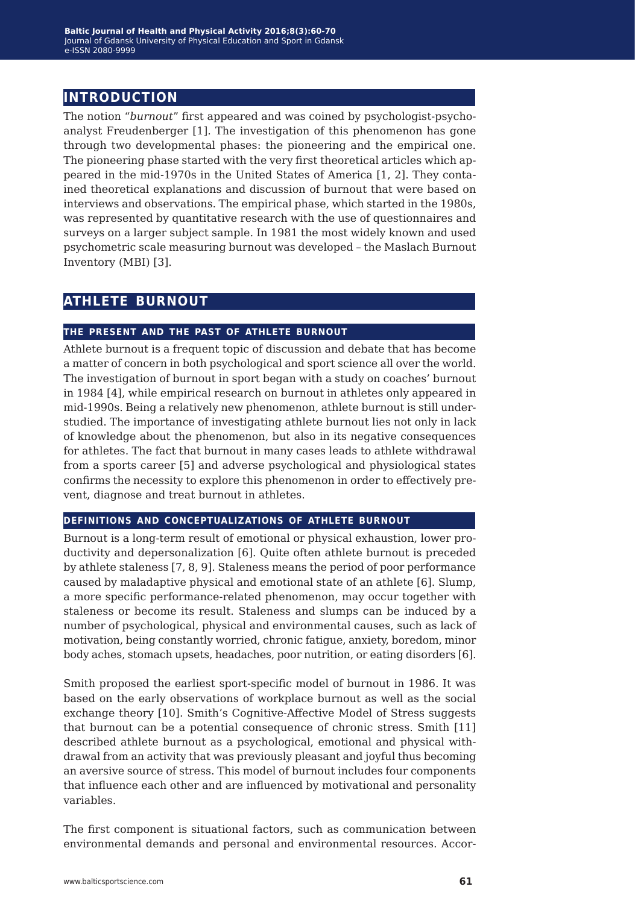## **introduction**

The notion "*burnout*" first appeared and was coined by psychologist-psychoanalyst Freudenberger [1]. The investigation of this phenomenon has gone through two developmental phases: the pioneering and the empirical one. The pioneering phase started with the very first theoretical articles which appeared in the mid-1970s in the United States of America [1, 2]. They contained theoretical explanations and discussion of burnout that were based on interviews and observations. The empirical phase, which started in the 1980s, was represented by quantitative research with the use of questionnaires and surveys on a larger subject sample. In 1981 the most widely known and used psychometric scale measuring burnout was developed – the Maslach Burnout Inventory (MBI) [3].

## **athlete burnout**

#### **the present and the past of athlete burnout**

Athlete burnout is a frequent topic of discussion and debate that has become a matter of concern in both psychological and sport science all over the world. The investigation of burnout in sport began with a study on coaches' burnout in 1984 [4], while empirical research on burnout in athletes only appeared in mid-1990s. Being a relatively new phenomenon, athlete burnout is still understudied. The importance of investigating athlete burnout lies not only in lack of knowledge about the phenomenon, but also in its negative consequences for athletes. The fact that burnout in many cases leads to athlete withdrawal from a sports career [5] and adverse psychological and physiological states confirms the necessity to explore this phenomenon in order to effectively prevent, diagnose and treat burnout in athletes.

#### **definitions and conceptualizations of athlete burnout**

Burnout is a long-term result of emotional or physical exhaustion, lower productivity and depersonalization [6]. Quite often athlete burnout is preceded by athlete staleness [7, 8, 9]. Staleness means the period of poor performance caused by maladaptive physical and emotional state of an athlete [6]. Slump, a more specific performance-related phenomenon, may occur together with staleness or become its result. Staleness and slumps can be induced by a number of psychological, physical and environmental causes, such as lack of motivation, being constantly worried, chronic fatigue, anxiety, boredom, minor body aches, stomach upsets, headaches, poor nutrition, or eating disorders [6].

Smith proposed the earliest sport-specific model of burnout in 1986. It was based on the early observations of workplace burnout as well as the social exchange theory [10]. Smith's Cognitive-Affective Model of Stress suggests that burnout can be a potential consequence of chronic stress. Smith [11] described athlete burnout as a psychological, emotional and physical withdrawal from an activity that was previously pleasant and joyful thus becoming an aversive source of stress. This model of burnout includes four components that influence each other and are influenced by motivational and personality variables.

The first component is situational factors, such as communication between environmental demands and personal and environmental resources. Accor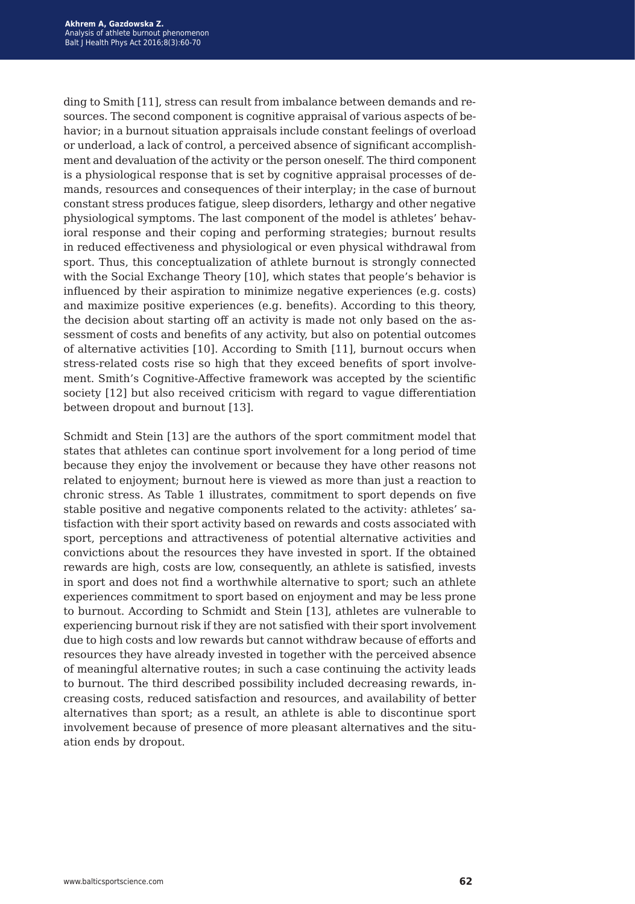ding to Smith [11], stress can result from imbalance between demands and resources. The second component is cognitive appraisal of various aspects of behavior; in a burnout situation appraisals include constant feelings of overload or underload, a lack of control, a perceived absence of significant accomplishment and devaluation of the activity or the person oneself. The third component is a physiological response that is set by cognitive appraisal processes of demands, resources and consequences of their interplay; in the case of burnout constant stress produces fatigue, sleep disorders, lethargy and other negative physiological symptoms. The last component of the model is athletes' behavioral response and their coping and performing strategies; burnout results in reduced effectiveness and physiological or even physical withdrawal from sport. Thus, this conceptualization of athlete burnout is strongly connected with the Social Exchange Theory [10], which states that people's behavior is influenced by their aspiration to minimize negative experiences (e.g. costs) and maximize positive experiences (e.g. benefits). According to this theory, the decision about starting off an activity is made not only based on the assessment of costs and benefits of any activity, but also on potential outcomes of alternative activities [10]. According to Smith [11], burnout occurs when stress-related costs rise so high that they exceed benefits of sport involvement. Smith's Cognitive-Affective framework was accepted by the scientific society [12] but also received criticism with regard to vague differentiation between dropout and burnout [13].

Schmidt and Stein [13] are the authors of the sport commitment model that states that athletes can continue sport involvement for a long period of time because they enjoy the involvement or because they have other reasons not related to enjoyment; burnout here is viewed as more than just a reaction to chronic stress. As Table 1 illustrates, commitment to sport depends on five stable positive and negative components related to the activity: athletes' satisfaction with their sport activity based on rewards and costs associated with sport, perceptions and attractiveness of potential alternative activities and convictions about the resources they have invested in sport. If the obtained rewards are high, costs are low, consequently, an athlete is satisfied, invests in sport and does not find a worthwhile alternative to sport; such an athlete experiences commitment to sport based on enjoyment and may be less prone to burnout. According to Schmidt and Stein [13], athletes are vulnerable to experiencing burnout risk if they are not satisfied with their sport involvement due to high costs and low rewards but cannot withdraw because of efforts and resources they have already invested in together with the perceived absence of meaningful alternative routes; in such a case continuing the activity leads to burnout. The third described possibility included decreasing rewards, increasing costs, reduced satisfaction and resources, and availability of better alternatives than sport; as a result, an athlete is able to discontinue sport involvement because of presence of more pleasant alternatives and the situation ends by dropout.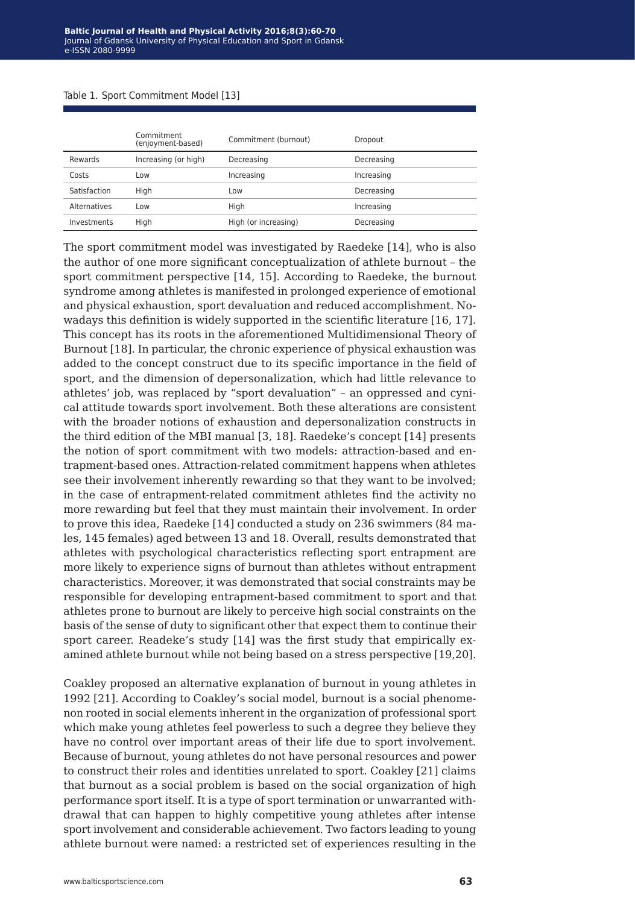#### Table 1*.* Sport Commitment Model [13]

|              | Commitment<br>(enjoyment-based) | Commitment (burnout) | Dropout    |
|--------------|---------------------------------|----------------------|------------|
| Rewards      | Increasing (or high)            | Decreasing           | Decreasing |
| Costs        | Low                             | Increasing           | Increasing |
| Satisfaction | High                            | Low                  | Decreasing |
| Alternatives | Low                             | High                 | Increasing |
| Investments  | High                            | High (or increasing) | Decreasing |

The sport commitment model was investigated by Raedeke [14], who is also the author of one more significant conceptualization of athlete burnout – the sport commitment perspective [14, 15]. According to Raedeke, the burnout syndrome among athletes is manifested in prolonged experience of emotional and physical exhaustion, sport devaluation and reduced accomplishment. Nowadays this definition is widely supported in the scientific literature [16, 17]. This concept has its roots in the aforementioned Multidimensional Theory of Burnout [18]. In particular, the chronic experience of physical exhaustion was added to the concept construct due to its specific importance in the field of sport, and the dimension of depersonalization, which had little relevance to athletes' job, was replaced by "sport devaluation" – an oppressed and cynical attitude towards sport involvement. Both these alterations are consistent with the broader notions of exhaustion and depersonalization constructs in the third edition of the MBI manual [3, 18]. Raedeke's concept [14] presents the notion of sport commitment with two models: attraction-based and entrapment-based ones. Attraction-related commitment happens when athletes see their involvement inherently rewarding so that they want to be involved; in the case of entrapment-related commitment athletes find the activity no more rewarding but feel that they must maintain their involvement. In order to prove this idea, Raedeke [14] conducted a study on 236 swimmers (84 males, 145 females) aged between 13 and 18. Overall, results demonstrated that athletes with psychological characteristics reflecting sport entrapment are more likely to experience signs of burnout than athletes without entrapment characteristics. Moreover, it was demonstrated that social constraints may be responsible for developing entrapment-based commitment to sport and that athletes prone to burnout are likely to perceive high social constraints on the basis of the sense of duty to significant other that expect them to continue their sport career. Readeke's study [14] was the first study that empirically examined athlete burnout while not being based on a stress perspective [19,20].

Coakley proposed an alternative explanation of burnout in young athletes in 1992 [21]. According to Coakley's social model, burnout is a social phenomenon rooted in social elements inherent in the organization of professional sport which make young athletes feel powerless to such a degree they believe they have no control over important areas of their life due to sport involvement. Because of burnout, young athletes do not have personal resources and power to construct their roles and identities unrelated to sport. Coakley [21] claims that burnout as a social problem is based on the social organization of high performance sport itself. It is a type of sport termination or unwarranted withdrawal that can happen to highly competitive young athletes after intense sport involvement and considerable achievement. Two factors leading to young athlete burnout were named: a restricted set of experiences resulting in the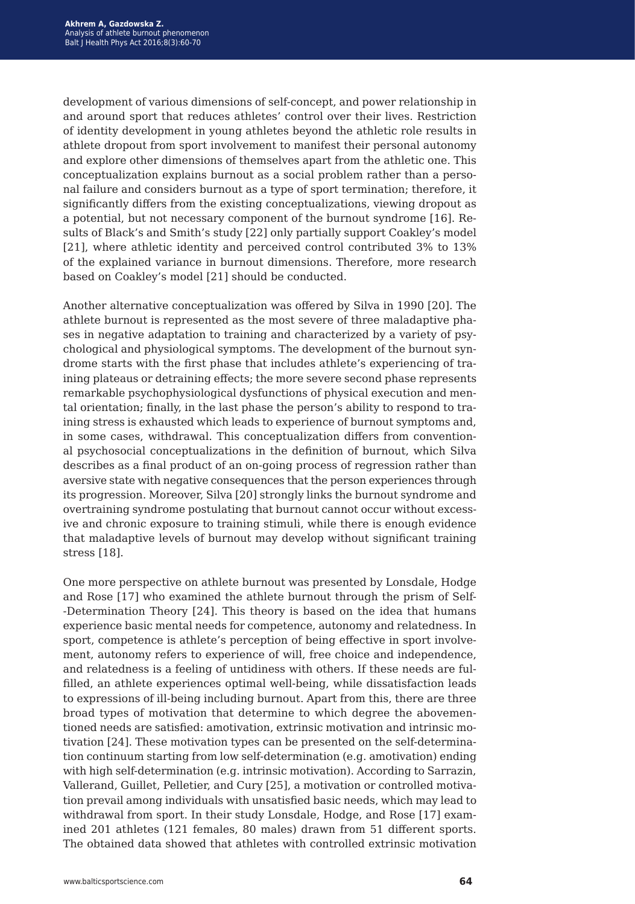development of various dimensions of self-concept, and power relationship in and around sport that reduces athletes' control over their lives. Restriction of identity development in young athletes beyond the athletic role results in athlete dropout from sport involvement to manifest their personal autonomy and explore other dimensions of themselves apart from the athletic one. This conceptualization explains burnout as a social problem rather than a personal failure and considers burnout as a type of sport termination; therefore, it significantly differs from the existing conceptualizations, viewing dropout as a potential, but not necessary component of the burnout syndrome [16]. Results of Black's and Smith's study [22] only partially support Coakley's model [21], where athletic identity and perceived control contributed 3% to 13% of the explained variance in burnout dimensions. Therefore, more research based on Coakley's model [21] should be conducted.

Another alternative conceptualization was offered by Silva in 1990 [20]. The athlete burnout is represented as the most severe of three maladaptive phases in negative adaptation to training and characterized by a variety of psychological and physiological symptoms. The development of the burnout syndrome starts with the first phase that includes athlete's experiencing of training plateaus or detraining effects; the more severe second phase represents remarkable psychophysiological dysfunctions of physical execution and mental orientation; finally, in the last phase the person's ability to respond to training stress is exhausted which leads to experience of burnout symptoms and, in some cases, withdrawal. This conceptualization differs from conventional psychosocial conceptualizations in the definition of burnout, which Silva describes as a final product of an on-going process of regression rather than aversive state with negative consequences that the person experiences through its progression. Moreover, Silva [20] strongly links the burnout syndrome and overtraining syndrome postulating that burnout cannot occur without excessive and chronic exposure to training stimuli, while there is enough evidence that maladaptive levels of burnout may develop without significant training stress [18].

One more perspective on athlete burnout was presented by Lonsdale, Hodge and Rose [17] who examined the athlete burnout through the prism of Self- -Determination Theory [24]. This theory is based on the idea that humans experience basic mental needs for competence, autonomy and relatedness. In sport, competence is athlete's perception of being effective in sport involvement, autonomy refers to experience of will, free choice and independence, and relatedness is a feeling of untidiness with others. If these needs are fulfilled, an athlete experiences optimal well-being, while dissatisfaction leads to expressions of ill-being including burnout. Apart from this, there are three broad types of motivation that determine to which degree the abovementioned needs are satisfied: amotivation, extrinsic motivation and intrinsic motivation [24]. These motivation types can be presented on the self-determination continuum starting from low self-determination (e.g. amotivation) ending with high self-determination (e.g. intrinsic motivation). According to Sarrazin, Vallerand, Guillet, Pelletier, and Cury [25], a motivation or controlled motivation prevail among individuals with unsatisfied basic needs, which may lead to withdrawal from sport. In their study Lonsdale, Hodge, and Rose [17] examined 201 athletes (121 females, 80 males) drawn from 51 different sports. The obtained data showed that athletes with controlled extrinsic motivation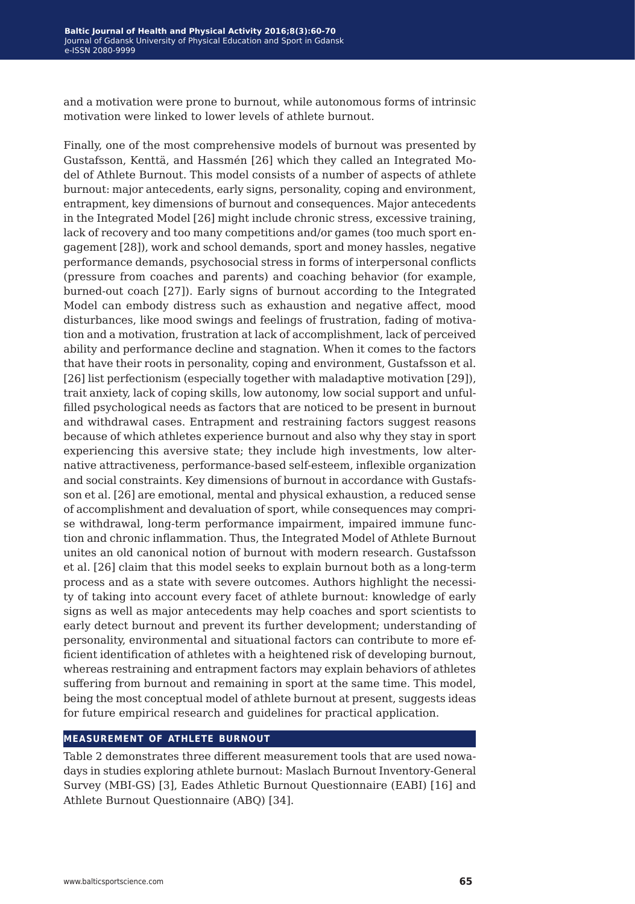and a motivation were prone to burnout, while autonomous forms of intrinsic motivation were linked to lower levels of athlete burnout.

Finally, one of the most comprehensive models of burnout was presented by Gustafsson, Kenttä, and Hassmén [26] which they called an Integrated Model of Athlete Burnout. This model consists of a number of aspects of athlete burnout: major antecedents, early signs, personality, coping and environment, entrapment, key dimensions of burnout and consequences. Major antecedents in the Integrated Model [26] might include chronic stress, excessive training, lack of recovery and too many competitions and/or games (too much sport engagement [28]), work and school demands, sport and money hassles, negative performance demands, psychosocial stress in forms of interpersonal conflicts (pressure from coaches and parents) and coaching behavior (for example, burned-out coach [27]). Early signs of burnout according to the Integrated Model can embody distress such as exhaustion and negative affect, mood disturbances, like mood swings and feelings of frustration, fading of motivation and a motivation, frustration at lack of accomplishment, lack of perceived ability and performance decline and stagnation. When it comes to the factors that have their roots in personality, coping and environment, Gustafsson et al. [26] list perfectionism (especially together with maladaptive motivation [29]), trait anxiety, lack of coping skills, low autonomy, low social support and unfulfilled psychological needs as factors that are noticed to be present in burnout and withdrawal cases. Entrapment and restraining factors suggest reasons because of which athletes experience burnout and also why they stay in sport experiencing this aversive state; they include high investments, low alternative attractiveness, performance-based self-esteem, inflexible organization and social constraints. Key dimensions of burnout in accordance with Gustafsson et al. [26] are emotional, mental and physical exhaustion, a reduced sense of accomplishment and devaluation of sport, while consequences may comprise withdrawal, long-term performance impairment, impaired immune function and chronic inflammation. Thus, the Integrated Model of Athlete Burnout unites an old canonical notion of burnout with modern research. Gustafsson et al. [26] claim that this model seeks to explain burnout both as a long-term process and as a state with severe outcomes. Authors highlight the necessity of taking into account every facet of athlete burnout: knowledge of early signs as well as major antecedents may help coaches and sport scientists to early detect burnout and prevent its further development; understanding of personality, environmental and situational factors can contribute to more efficient identification of athletes with a heightened risk of developing burnout, whereas restraining and entrapment factors may explain behaviors of athletes suffering from burnout and remaining in sport at the same time. This model, being the most conceptual model of athlete burnout at present, suggests ideas for future empirical research and guidelines for practical application.

#### **measurement of athlete burnout**

Table 2 demonstrates three different measurement tools that are used nowadays in studies exploring athlete burnout: Maslach Burnout Inventory-General Survey (MBI-GS) [3], Eades Athletic Burnout Questionnaire (EABI) [16] and Athlete Burnout Questionnaire (ABQ) [34].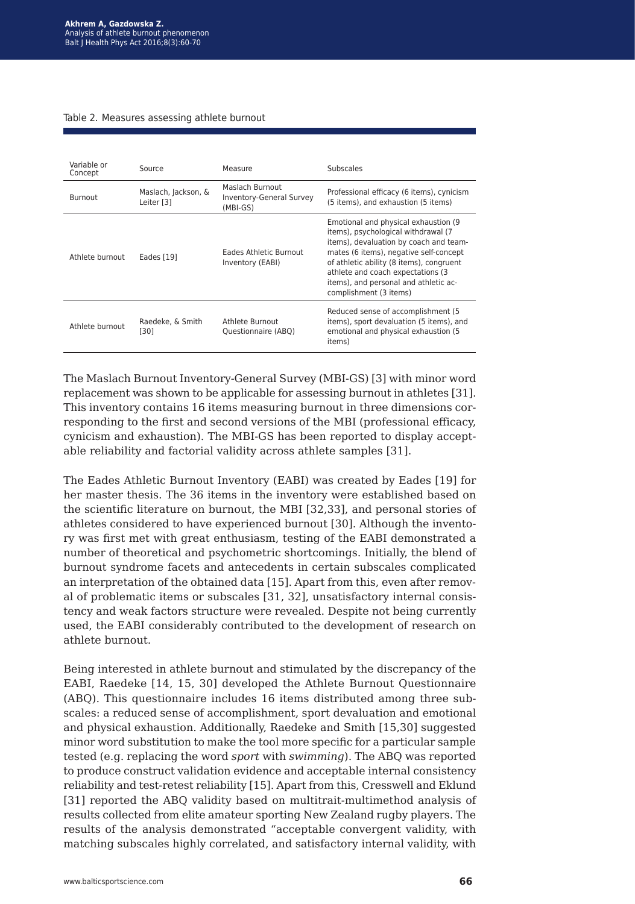#### Table 2. Measures assessing athlete burnout

| Variable or<br>Concept | Source                            | Measure                                                          | Subscales                                                                                                                                                                                                                                                                                                              |
|------------------------|-----------------------------------|------------------------------------------------------------------|------------------------------------------------------------------------------------------------------------------------------------------------------------------------------------------------------------------------------------------------------------------------------------------------------------------------|
| <b>Burnout</b>         | Maslach, Jackson, &<br>Leiter [3] | Maslach Burnout<br><b>Inventory-General Survey</b><br>$(MBI-GS)$ | Professional efficacy (6 items), cynicism<br>(5 items), and exhaustion (5 items)                                                                                                                                                                                                                                       |
| Athlete burnout        | Eades [19]                        | <b>Fades Athletic Burnout</b><br>Inventory (EABI)                | Emotional and physical exhaustion (9)<br>items), psychological withdrawal (7)<br>items), devaluation by coach and team-<br>mates (6 items), negative self-concept<br>of athletic ability (8 items), congruent<br>athlete and coach expectations (3)<br>items), and personal and athletic ac-<br>complishment (3 items) |
| Athlete burnout        | Raedeke, & Smith<br>[30]          | Athlete Burnout<br>Questionnaire (ABQ)                           | Reduced sense of accomplishment (5)<br>items), sport devaluation (5 items), and<br>emotional and physical exhaustion (5)<br>items)                                                                                                                                                                                     |

The Maslach Burnout Inventory-General Survey (MBI-GS) [3] with minor word replacement was shown to be applicable for assessing burnout in athletes [31]. This inventory contains 16 items measuring burnout in three dimensions corresponding to the first and second versions of the MBI (professional efficacy, cynicism and exhaustion). The MBI-GS has been reported to display acceptable reliability and factorial validity across athlete samples [31].

The Eades Athletic Burnout Inventory (EABI) was created by Eades [19] for her master thesis. The 36 items in the inventory were established based on the scientific literature on burnout, the MBI [32,33], and personal stories of athletes considered to have experienced burnout [30]. Although the inventory was first met with great enthusiasm, testing of the EABI demonstrated a number of theoretical and psychometric shortcomings. Initially, the blend of burnout syndrome facets and antecedents in certain subscales complicated an interpretation of the obtained data [15]. Apart from this, even after removal of problematic items or subscales [31, 32], unsatisfactory internal consistency and weak factors structure were revealed. Despite not being currently used, the EABI considerably contributed to the development of research on athlete burnout.

Being interested in athlete burnout and stimulated by the discrepancy of the EABI, Raedeke [14, 15, 30] developed the Athlete Burnout Questionnaire (ABQ). This questionnaire includes 16 items distributed among three subscales: a reduced sense of accomplishment, sport devaluation and emotional and physical exhaustion. Additionally, Raedeke and Smith [15,30] suggested minor word substitution to make the tool more specific for a particular sample tested (e.g. replacing the word *sport* with *swimming*). The ABQ was reported to produce construct validation evidence and acceptable internal consistency reliability and test-retest reliability [15]. Apart from this, Cresswell and Eklund [31] reported the ABQ validity based on multitrait-multimethod analysis of results collected from elite amateur sporting New Zealand rugby players. The results of the analysis demonstrated "acceptable convergent validity, with matching subscales highly correlated, and satisfactory internal validity, with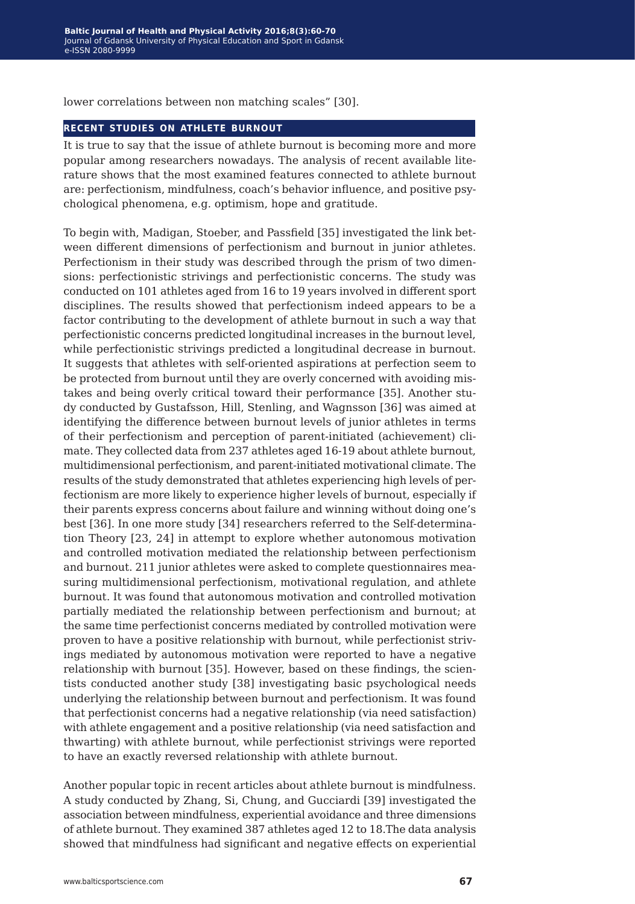lower correlations between non matching scales" [30].

#### **recent studies on athlete burnout**

It is true to say that the issue of athlete burnout is becoming more and more popular among researchers nowadays. The analysis of recent available literature shows that the most examined features connected to athlete burnout are: perfectionism, mindfulness, coach's behavior influence, and positive psychological phenomena, e.g. optimism, hope and gratitude.

To begin with, Madigan, Stoeber, and Passfield [35] investigated the link between different dimensions of perfectionism and burnout in junior athletes. Perfectionism in their study was described through the prism of two dimensions: perfectionistic strivings and perfectionistic concerns. The study was conducted on 101 athletes aged from 16 to 19 years involved in different sport disciplines. The results showed that perfectionism indeed appears to be a factor contributing to the development of athlete burnout in such a way that perfectionistic concerns predicted longitudinal increases in the burnout level, while perfectionistic strivings predicted a longitudinal decrease in burnout. It suggests that athletes with self-oriented aspirations at perfection seem to be protected from burnout until they are overly concerned with avoiding mistakes and being overly critical toward their performance [35]. Another study conducted by Gustafsson, Hill, Stenling, and Wagnsson [36] was aimed at identifying the difference between burnout levels of junior athletes in terms of their perfectionism and perception of parent-initiated (achievement) climate. They collected data from 237 athletes aged 16-19 about athlete burnout, multidimensional perfectionism, and parent-initiated motivational climate. The results of the study demonstrated that athletes experiencing high levels of perfectionism are more likely to experience higher levels of burnout, especially if their parents express concerns about failure and winning without doing one's best [36]. In one more study [34] researchers referred to the Self-determination Theory [23, 24] in attempt to explore whether autonomous motivation and controlled motivation mediated the relationship between perfectionism and burnout. 211 junior athletes were asked to complete questionnaires measuring multidimensional perfectionism, motivational regulation, and athlete burnout. It was found that autonomous motivation and controlled motivation partially mediated the relationship between perfectionism and burnout; at the same time perfectionist concerns mediated by controlled motivation were proven to have a positive relationship with burnout, while perfectionist strivings mediated by autonomous motivation were reported to have a negative relationship with burnout [35]. However, based on these findings, the scientists conducted another study [38] investigating basic psychological needs underlying the relationship between burnout and perfectionism. It was found that perfectionist concerns had a negative relationship (via need satisfaction) with athlete engagement and a positive relationship (via need satisfaction and thwarting) with athlete burnout, while perfectionist strivings were reported to have an exactly reversed relationship with athlete burnout.

Another popular topic in recent articles about athlete burnout is mindfulness. A study conducted by Zhang, Si, Chung, and Gucciardi [39] investigated the association between mindfulness, experiential avoidance and three dimensions of athlete burnout. They examined 387 athletes aged 12 to 18.The data analysis showed that mindfulness had significant and negative effects on experiential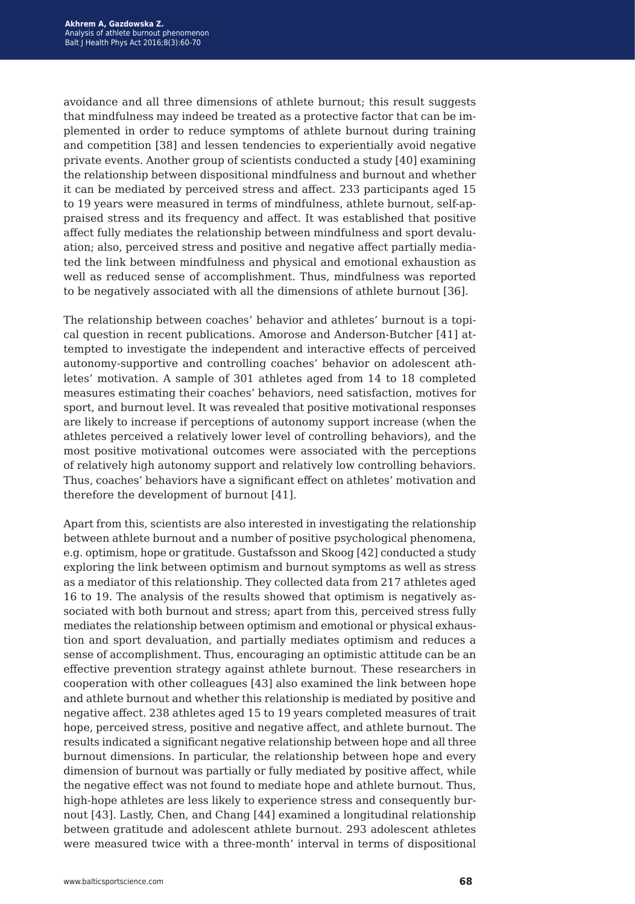avoidance and all three dimensions of athlete burnout; this result suggests that mindfulness may indeed be treated as a protective factor that can be implemented in order to reduce symptoms of athlete burnout during training and competition [38] and lessen tendencies to experientially avoid negative private events. Another group of scientists conducted a study [40] examining the relationship between dispositional mindfulness and burnout and whether it can be mediated by perceived stress and affect. 233 participants aged 15 to 19 years were measured in terms of mindfulness, athlete burnout, self-appraised stress and its frequency and affect. It was established that positive affect fully mediates the relationship between mindfulness and sport devaluation; also, perceived stress and positive and negative affect partially mediated the link between mindfulness and physical and emotional exhaustion as well as reduced sense of accomplishment. Thus, mindfulness was reported to be negatively associated with all the dimensions of athlete burnout [36].

The relationship between coaches' behavior and athletes' burnout is a topical question in recent publications. Amorose and Anderson-Butcher [41] attempted to investigate the independent and interactive effects of perceived autonomy-supportive and controlling coaches' behavior on adolescent athletes' motivation. A sample of 301 athletes aged from 14 to 18 completed measures estimating their coaches' behaviors, need satisfaction, motives for sport, and burnout level. It was revealed that positive motivational responses are likely to increase if perceptions of autonomy support increase (when the athletes perceived a relatively lower level of controlling behaviors), and the most positive motivational outcomes were associated with the perceptions of relatively high autonomy support and relatively low controlling behaviors. Thus, coaches' behaviors have a significant effect on athletes' motivation and therefore the development of burnout [41].

Apart from this, scientists are also interested in investigating the relationship between athlete burnout and a number of positive psychological phenomena, e.g. optimism, hope or gratitude. Gustafsson and Skoog [42] conducted a study exploring the link between optimism and burnout symptoms as well as stress as a mediator of this relationship. They collected data from 217 athletes aged 16 to 19. The analysis of the results showed that optimism is negatively associated with both burnout and stress; apart from this, perceived stress fully mediates the relationship between optimism and emotional or physical exhaustion and sport devaluation, and partially mediates optimism and reduces a sense of accomplishment. Thus, encouraging an optimistic attitude can be an effective prevention strategy against athlete burnout. These researchers in cooperation with other colleagues [43] also examined the link between hope and athlete burnout and whether this relationship is mediated by positive and negative affect. 238 athletes aged 15 to 19 years completed measures of trait hope, perceived stress, positive and negative affect, and athlete burnout. The results indicated a significant negative relationship between hope and all three burnout dimensions. In particular, the relationship between hope and every dimension of burnout was partially or fully mediated by positive affect, while the negative effect was not found to mediate hope and athlete burnout. Thus, high-hope athletes are less likely to experience stress and consequently burnout [43]. Lastly, Chen, and Chang [44] examined a longitudinal relationship between gratitude and adolescent athlete burnout. 293 adolescent athletes were measured twice with a three-month' interval in terms of dispositional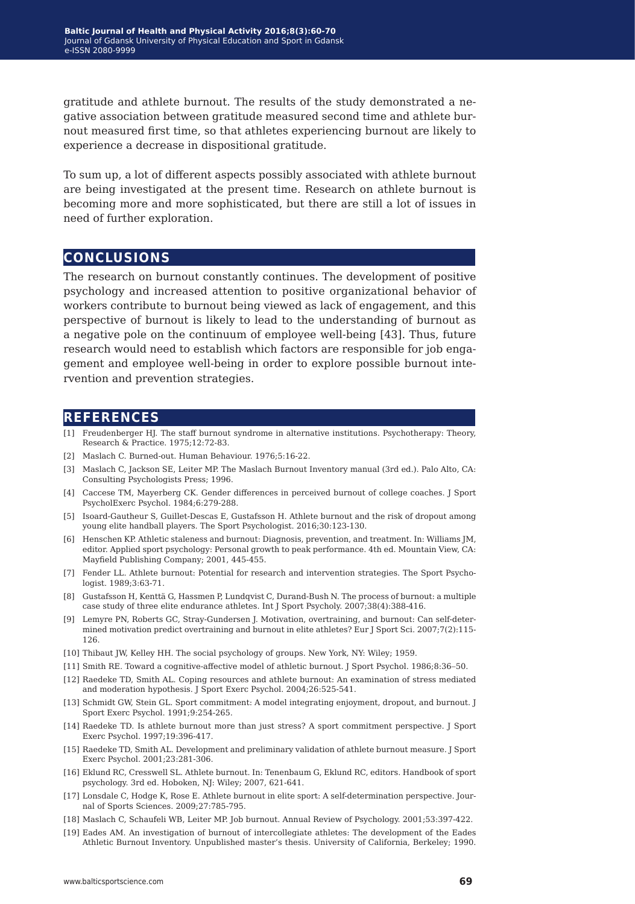gratitude and athlete burnout. The results of the study demonstrated a negative association between gratitude measured second time and athlete burnout measured first time, so that athletes experiencing burnout are likely to experience a decrease in dispositional gratitude.

To sum up, a lot of different aspects possibly associated with athlete burnout are being investigated at the present time. Research on athlete burnout is becoming more and more sophisticated, but there are still a lot of issues in need of further exploration.

### **conclusions**

The research on burnout constantly continues. The development of positive psychology and increased attention to positive organizational behavior of workers contribute to burnout being viewed as lack of engagement, and this perspective of burnout is likely to lead to the understanding of burnout as a negative pole on the continuum of employee well-being [43]. Thus, future research would need to establish which factors are responsible for job engagement and employee well-being in order to explore possible burnout intervention and prevention strategies.

#### **references**

- [1] Freudenberger HJ. The staff burnout syndrome in alternative institutions. Psychotherapy: Theory, Research & Practice. 1975;12:72-83.
- [2] Maslach C. Burned-out. Human Behaviour. 1976;5:16-22.
- [3] Maslach C, Jackson SE, Leiter MP. The Maslach Burnout Inventory manual (3rd ed.). Palo Alto, CA: Consulting Psychologists Press; 1996.
- [4] Caccese TM, Mayerberg CK. Gender differences in perceived burnout of college coaches. J Sport PsycholExerc Psychol. 1984;6:279-288.
- [5] Isoard-Gautheur S, Guillet-Descas E, Gustafsson H. Athlete burnout and the risk of dropout among young elite handball players. The Sport Psychologist. 2016;30:123-130.
- [6] Henschen KP. Athletic staleness and burnout: Diagnosis, prevention, and treatment. In: Williams JM, editor. Applied sport psychology: Personal growth to peak performance. 4th ed. Mountain View, CA: Mayfield Publishing Company; 2001, 445-455.
- [7] Fender LL. Athlete burnout: Potential for research and intervention strategies. The Sport Psychologist. 1989;3:63-71.
- [8] Gustafsson H, Kenttä G, Hassmen P, Lundqvist C, Durand-Bush N. The process of burnout: a multiple case study of three elite endurance athletes. Int J Sport Psycholy. 2007;38(4):388-416.
- [9] Lemyre PN, Roberts GC, Stray-Gundersen J. Motivation, overtraining, and burnout: Can self-determined motivation predict overtraining and burnout in elite athletes? Eur J Sport Sci. 2007;7(2):115- 126.
- [10] Thibaut JW, Kelley HH. The social psychology of groups. New York, NY: Wiley; 1959.
- [11] Smith RE. Toward a cognitive-affective model of athletic burnout. J Sport Psychol. 1986;8:36-50.
- [12] Raedeke TD, Smith AL. Coping resources and athlete burnout: An examination of stress mediated and moderation hypothesis. J Sport Exerc Psychol. 2004;26:525-541.
- [13] Schmidt GW, Stein GL. Sport commitment: A model integrating enjoyment, dropout, and burnout. J Sport Exerc Psychol. 1991;9:254-265.
- [14] Raedeke TD. Is athlete burnout more than just stress? A sport commitment perspective. J Sport Exerc Psychol. 1997;19:396-417.
- [15] Raedeke TD, Smith AL. Development and preliminary validation of athlete burnout measure. J Sport Exerc Psychol. 2001;23:281-306.
- [16] Eklund RC, Cresswell SL. Athlete burnout. In: Tenenbaum G, Eklund RC, editors. Handbook of sport psychology. 3rd ed. Hoboken, NJ: Wiley; 2007, 621-641.
- [17] Lonsdale C, Hodge K, Rose E. Athlete burnout in elite sport: A self-determination perspective. Journal of Sports Sciences. 2009;27:785-795.
- [18] Maslach C, Schaufeli WB, Leiter MP. Job burnout. Annual Review of Psychology. 2001;53:397-422.
- [19] Eades AM. An investigation of burnout of intercollegiate athletes: The development of the Eades Athletic Burnout Inventory. Unpublished master's thesis. University of California, Berkeley; 1990.